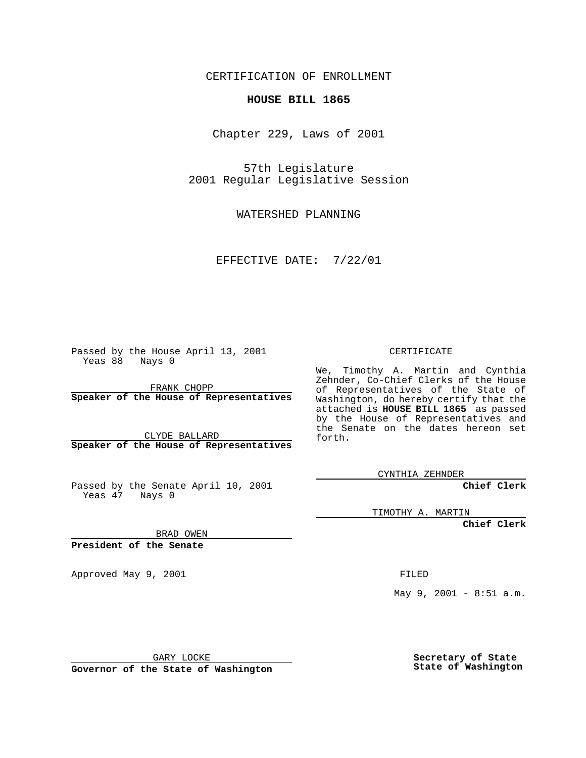CERTIFICATION OF ENROLLMENT

## **HOUSE BILL 1865**

Chapter 229, Laws of 2001

57th Legislature 2001 Regular Legislative Session

WATERSHED PLANNING

EFFECTIVE DATE: 7/22/01

Passed by the House April 13, 2001 Yeas 88 Nays 0

FRANK CHOPP **Speaker of the House of Representatives**

CLYDE BALLARD **Speaker of the House of Representatives**

Passed by the Senate April 10, 2001 Yeas 47 Nays 0

CERTIFICATE

We, Timothy A. Martin and Cynthia Zehnder, Co-Chief Clerks of the House of Representatives of the State of Washington, do hereby certify that the attached is **HOUSE BILL 1865** as passed by the House of Representatives and the Senate on the dates hereon set forth.

CYNTHIA ZEHNDER

**Chief Clerk**

TIMOTHY A. MARTIN

**Chief Clerk**

BRAD OWEN

**President of the Senate**

Approved May 9, 2001 and the state of the FILED

May 9, 2001 - 8:51 a.m.

GARY LOCKE

**Governor of the State of Washington**

**Secretary of State State of Washington**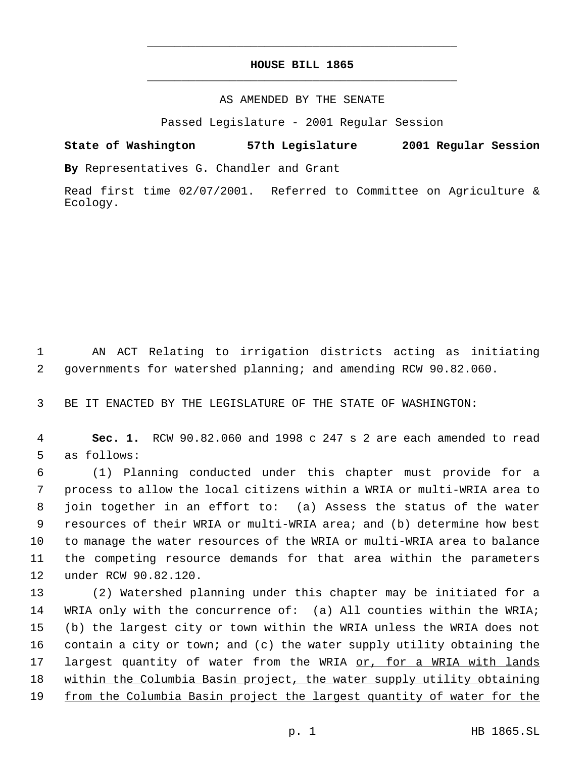## **HOUSE BILL 1865** \_\_\_\_\_\_\_\_\_\_\_\_\_\_\_\_\_\_\_\_\_\_\_\_\_\_\_\_\_\_\_\_\_\_\_\_\_\_\_\_\_\_\_\_\_

\_\_\_\_\_\_\_\_\_\_\_\_\_\_\_\_\_\_\_\_\_\_\_\_\_\_\_\_\_\_\_\_\_\_\_\_\_\_\_\_\_\_\_\_\_

## AS AMENDED BY THE SENATE

Passed Legislature - 2001 Regular Session

**State of Washington 57th Legislature 2001 Regular Session By** Representatives G. Chandler and Grant

Read first time 02/07/2001. Referred to Committee on Agriculture & Ecology.

 AN ACT Relating to irrigation districts acting as initiating governments for watershed planning; and amending RCW 90.82.060.

BE IT ENACTED BY THE LEGISLATURE OF THE STATE OF WASHINGTON:

 **Sec. 1.** RCW 90.82.060 and 1998 c 247 s 2 are each amended to read as follows:

 (1) Planning conducted under this chapter must provide for a process to allow the local citizens within a WRIA or multi-WRIA area to join together in an effort to: (a) Assess the status of the water resources of their WRIA or multi-WRIA area; and (b) determine how best to manage the water resources of the WRIA or multi-WRIA area to balance the competing resource demands for that area within the parameters under RCW 90.82.120.

 (2) Watershed planning under this chapter may be initiated for a WRIA only with the concurrence of: (a) All counties within the WRIA; (b) the largest city or town within the WRIA unless the WRIA does not contain a city or town; and (c) the water supply utility obtaining the 17 largest quantity of water from the WRIA or, for a WRIA with lands within the Columbia Basin project, the water supply utility obtaining from the Columbia Basin project the largest quantity of water for the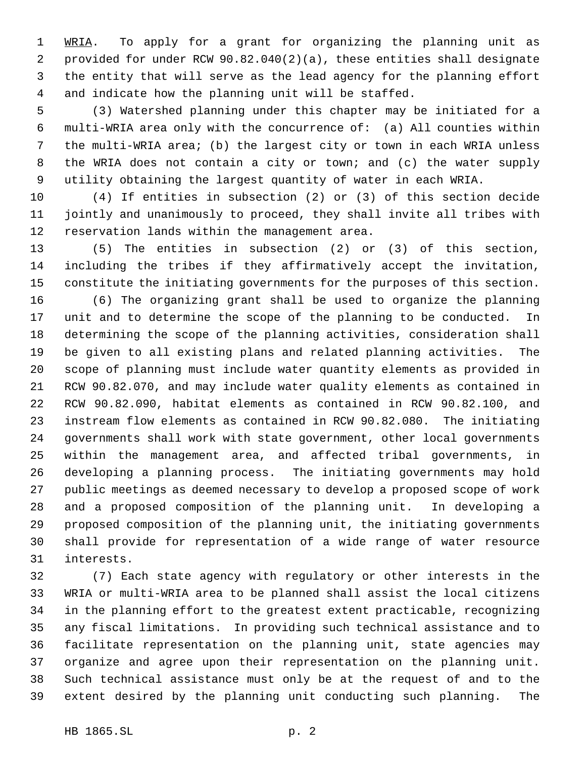1 WRIA. To apply for a grant for organizing the planning unit as provided for under RCW 90.82.040(2)(a), these entities shall designate the entity that will serve as the lead agency for the planning effort and indicate how the planning unit will be staffed.

 (3) Watershed planning under this chapter may be initiated for a multi-WRIA area only with the concurrence of: (a) All counties within the multi-WRIA area; (b) the largest city or town in each WRIA unless the WRIA does not contain a city or town; and (c) the water supply utility obtaining the largest quantity of water in each WRIA.

 (4) If entities in subsection (2) or (3) of this section decide jointly and unanimously to proceed, they shall invite all tribes with reservation lands within the management area.

 (5) The entities in subsection (2) or (3) of this section, including the tribes if they affirmatively accept the invitation, constitute the initiating governments for the purposes of this section.

 (6) The organizing grant shall be used to organize the planning unit and to determine the scope of the planning to be conducted. In determining the scope of the planning activities, consideration shall be given to all existing plans and related planning activities. The scope of planning must include water quantity elements as provided in RCW 90.82.070, and may include water quality elements as contained in RCW 90.82.090, habitat elements as contained in RCW 90.82.100, and instream flow elements as contained in RCW 90.82.080. The initiating governments shall work with state government, other local governments within the management area, and affected tribal governments, in developing a planning process. The initiating governments may hold public meetings as deemed necessary to develop a proposed scope of work and a proposed composition of the planning unit. In developing a proposed composition of the planning unit, the initiating governments shall provide for representation of a wide range of water resource interests.

 (7) Each state agency with regulatory or other interests in the WRIA or multi-WRIA area to be planned shall assist the local citizens in the planning effort to the greatest extent practicable, recognizing any fiscal limitations. In providing such technical assistance and to facilitate representation on the planning unit, state agencies may organize and agree upon their representation on the planning unit. Such technical assistance must only be at the request of and to the extent desired by the planning unit conducting such planning. The